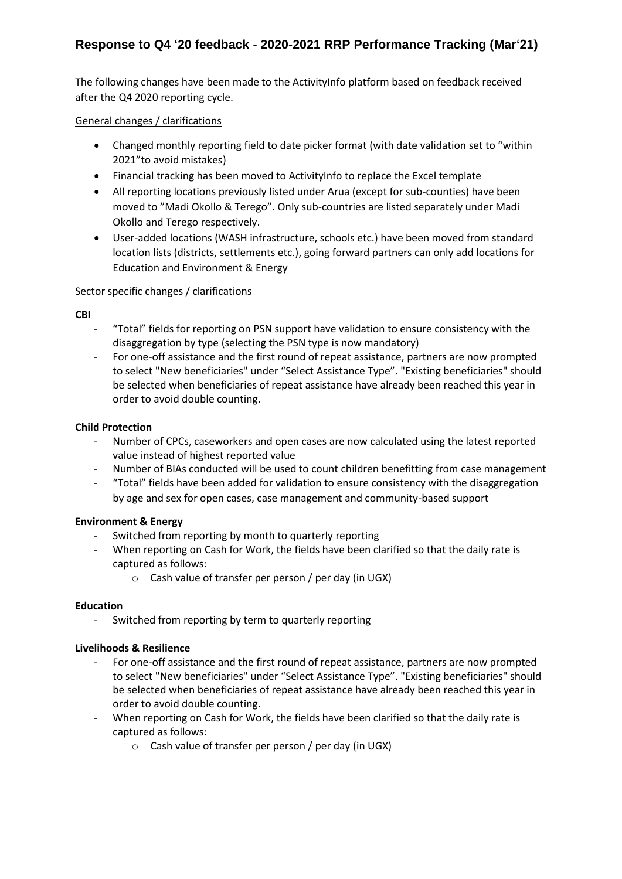# **Response to Q4 '20 feedback - 2020-2021 RRP Performance Tracking (Mar'21)**

The following changes have been made to the ActivityInfo platform based on feedback received after the Q4 2020 reporting cycle.

## General changes / clarifications

- Changed monthly reporting field to date picker format (with date validation set to "within 2021"to avoid mistakes)
- Financial tracking has been moved to ActivityInfo to replace the Excel template
- All reporting locations previously listed under Arua (except for sub-counties) have been moved to "Madi Okollo & Terego". Only sub-countries are listed separately under Madi Okollo and Terego respectively.
- User-added locations (WASH infrastructure, schools etc.) have been moved from standard location lists (districts, settlements etc.), going forward partners can only add locations for Education and Environment & Energy

## Sector specific changes / clarifications

**CBI**

- "Total" fields for reporting on PSN support have validation to ensure consistency with the disaggregation by type (selecting the PSN type is now mandatory)
- For one-off assistance and the first round of repeat assistance, partners are now prompted to select "New beneficiaries" under "Select Assistance Type". "Existing beneficiaries" should be selected when beneficiaries of repeat assistance have already been reached this year in order to avoid double counting.

## **Child Protection**

- Number of CPCs, caseworkers and open cases are now calculated using the latest reported value instead of highest reported value
- Number of BIAs conducted will be used to count children benefitting from case management
- "Total" fields have been added for validation to ensure consistency with the disaggregation by age and sex for open cases, case management and community-based support

## **Environment & Energy**

- Switched from reporting by month to quarterly reporting
- When reporting on Cash for Work, the fields have been clarified so that the daily rate is captured as follows:
	- o Cash value of transfer per person / per day (in UGX)

#### **Education**

- Switched from reporting by term to quarterly reporting

#### **Livelihoods & Resilience**

- For one-off assistance and the first round of repeat assistance, partners are now prompted to select "New beneficiaries" under "Select Assistance Type". "Existing beneficiaries" should be selected when beneficiaries of repeat assistance have already been reached this year in order to avoid double counting.
- When reporting on Cash for Work, the fields have been clarified so that the daily rate is captured as follows:
	- o Cash value of transfer per person / per day (in UGX)